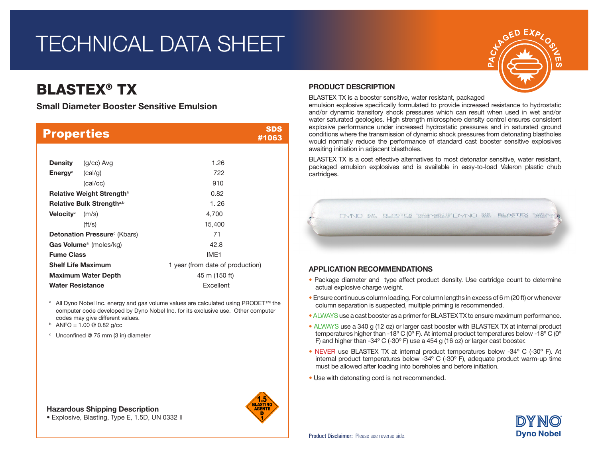# TECHNICAL DATA SHEET

## BLASTEX® TX

Small Diameter Booster Sensitive Emulsion

| <b>Properties</b>                        | SDS<br>#1063                     |
|------------------------------------------|----------------------------------|
|                                          |                                  |
| (g/cc) Avg<br>Density                    | 1.26                             |
| <b>Energy</b> <sup>a</sup> (cal/g)       | 722                              |
| (cal/cc)                                 | 910                              |
| <b>Relative Weight Strengtha</b>         | 0.82                             |
| Relative Bulk Strengtha,b                | 1.26                             |
| Velocity $^{\circ}$<br>(m/s)             | 4,700                            |
| $({\rm ft/s})$                           | 15,400                           |
| Detonation Pressure <sup>c</sup> (Kbars) | 71                               |
| Gas Volume <sup>a</sup> (moles/kg)       | 42.8                             |
| <b>Fume Class</b>                        | IMF <sub>1</sub>                 |
| <b>Shelf Life Maximum</b>                | 1 year (from date of production) |
| <b>Maximum Water Depth</b>               | 45 m (150 ft)                    |
| <b>Water Resistance</b>                  | Excellent                        |

<sup>a</sup> All Dyno Nobel Inc. energy and gas volume values are calculated using PRODET<sup>™</sup> the computer code developed by Dyno Nobel Inc. for its exclusive use. Other computer codes may give different values.

 $b$  ANFO = 1.00 @ 0.82 g/cc

<sup>c</sup> Unconfined @ 75 mm (3 in) diameter

### Hazardous Shipping Description

• Explosive, Blasting, Type E, 1.5D, UN 0332 II



## PRODUCT DESCRIPTION

BLASTEX TX is a booster sensitive, water resistant, packaged

emulsion explosive specifically formulated to provide increased resistance to hydrostatic and/or dynamic transitory shock pressures which can result when used in wet and/or water saturated geologies. High strength microsphere density control ensures consistent explosive performance under increased hydrostatic pressures and in saturated ground conditions where the transmission of dynamic shock pressures from detonating blastholes would normally reduce the performance of standard cast booster sensitive explosives awaiting initiation in adjacent blastholes.

BLASTEX TX is a cost effective alternatives to most detonator sensitive, water resistant, packaged emulsion explosives and is available in easy-to-load Valeron plastic chub cartridges.

DYNO 聯 BLOSTEX 調理 認識罪 DYNO 職 BLOSTEX 調理

### APPLICATION RECOMMENDATIONS

- Package diameter and type affect product density. Use cartridge count to determine actual explosive charge weight.
- Ensure continuous column loading. For column lengths in excess of 6 m (20 ft) or whenever column separation is suspected, multiple priming is recommended.
- ALWAYSuse a cast booster as a primer for BLASTEX TX to ensure maximum performance.
- ALWAYS use a 340 g (12 oz) or larger cast booster with BLASTEX TX at internal product temperatures higher than -18 $^{\circ}$  C (0 $^{\circ}$  F). At internal product temperatures below -18 $^{\circ}$  C (0 $^{\circ}$ F) and higher than -34º C (-30º F) use a 454 g (16 oz) or larger cast booster.
- NEVER use BLASTEX TX at internal product temperatures below -34º C (-30º F). At internal product temperatures below -34º C (-30º F), adequate product warm-up time must be allowed after loading into boreholes and before initiation.
- Use with detonating cord is not recommended.



Product Disclaimer: Please see reverse side.